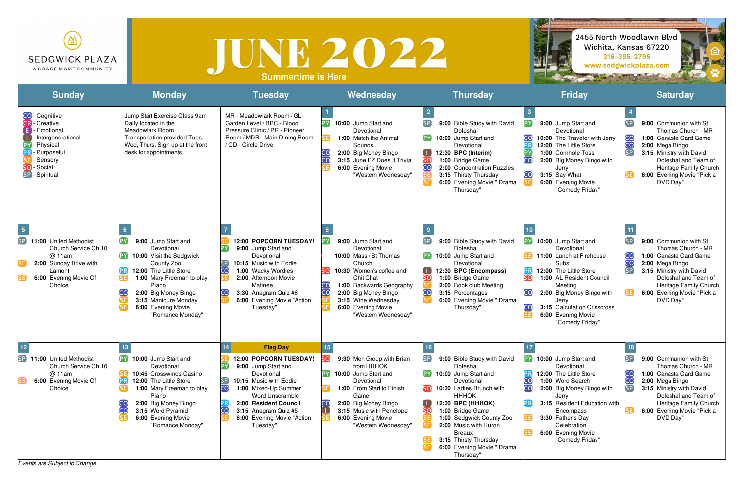*Events are Subject to Change.*

| 笽<br><b>SEDGWICK PLAZA</b><br>A GRACE MGMT COMMUNITY                                                                                                    |                                                                                                                                                                                                                                                 | TUNE 2022<br><b>Summertime is Here</b>                                                                                                                                                                                                               |                                                                                                                                                                                                                                                |                                                                                                                                                                                                                                                                                                              |                                                                                                                                                                                                                                                                                                                    | 2455 North Woodlawn Blvd<br>Wichita, Kansas 67220<br>316-395-2795<br>www.sedgwickplaza.com                                                                                                                                                          |
|---------------------------------------------------------------------------------------------------------------------------------------------------------|-------------------------------------------------------------------------------------------------------------------------------------------------------------------------------------------------------------------------------------------------|------------------------------------------------------------------------------------------------------------------------------------------------------------------------------------------------------------------------------------------------------|------------------------------------------------------------------------------------------------------------------------------------------------------------------------------------------------------------------------------------------------|--------------------------------------------------------------------------------------------------------------------------------------------------------------------------------------------------------------------------------------------------------------------------------------------------------------|--------------------------------------------------------------------------------------------------------------------------------------------------------------------------------------------------------------------------------------------------------------------------------------------------------------------|-----------------------------------------------------------------------------------------------------------------------------------------------------------------------------------------------------------------------------------------------------|
| <b>Sunday</b>                                                                                                                                           | <b>Monday</b>                                                                                                                                                                                                                                   | <b>Tuesday</b>                                                                                                                                                                                                                                       | Wednesday                                                                                                                                                                                                                                      | <b>Thursday</b>                                                                                                                                                                                                                                                                                              | <b>Friday</b>                                                                                                                                                                                                                                                                                                      | <b>Saturday</b>                                                                                                                                                                                                                                     |
| <b>CO</b> - Cognitive<br>- Creative<br>CR.<br>Emotional<br>Intergenerational<br>Physical<br>- Purposeful<br>Sensory<br>- Social<br>SO<br>SP - Spiritual | Jump Start Exercise Class 9am<br>Daily located in the<br>Meadowlark Room<br>Transportation provided Tues,<br>Wed, Thurs. Sign up at the front<br>desk for appointments.                                                                         | MR - Meadowlark Room / GL-<br>Garden Level / BPC - Blood<br>Pressure Clinic / PR - Pioneer<br>Room / MDR - Main Dining Room<br>/ CD - Circle Drive                                                                                                   | 10:00 Jump Start and<br>Devotional<br>1:00 Match the Animal<br>Sounds<br>2:00 Big Money Bingo<br>3:15 June EZ Does It Trivia<br>6:00 Evening Movie<br>"Western Wednesday"                                                                      | 9:00 Bible Study with David<br>Doleshal<br>10:00 Jump Start and<br>Devotional<br>12:30 BPC (Interim)<br>1:00 Bridge Game<br>2:00 Concentration Puzzles<br>3:15 Thirsty Thursday<br>6:00 Evening Movie " Drama<br>Thursday"                                                                                   | PY)<br>9:00 Jump Start and<br>Devotional<br>10:00 The Traveler with Jerry<br>12:00 The Little Store<br>1:00 Cornhole Toss<br>2:00 Big Money Bingo with<br>Jerry<br>3:15 Say What<br>6:00 Evening Movie<br>"Comedy Friday"                                                                                          | 9:00 Communion with St<br>Thomas Church - MR<br>1:00 Canasta Card Game<br>cc<br>2:00 Mega Bingo<br>SP<br>3:15 Ministry with David<br>Doleshal and Team of<br>Heritage Family Church<br>6:00 Evening Movie "Pick a<br>DVD Day"                       |
| SP<br>11:00 United Methodist<br>Church Service Ch.10<br>@ 11am<br>2:00 Sunday Drive with<br>Lamont<br>6:00 Evening Movie Of<br>Choice                   | 9:00 Jump Start and<br>Devotional<br>10:00 Visit the Sedgwick<br>County Zoo<br>12:00 The Little Store<br>1:00 Mary Freeman to play<br>Piano<br>2:00 Big Money Bingo<br>$\cap$<br>3:15 Manicure Monday<br>6:00 Evening Movie<br>"Romance Monday" | 12:00 POPCORN TUESDAY!<br>9:00 Jump Start and<br>Devotional<br>10:15 Music with Eddie<br>1:00 Wacky Wordies<br>CO.<br>2:00 Afternoon Movie<br>Matinee<br>3:30 Anagram Quiz #6<br>6:00 Evening Movie "Action<br>Tuesday"                              | 9:00 Jump Start and<br>Devotional<br>10:00 Mass / St Thomas<br>Church<br>10:30 Women's coffee and<br>Chit Chat<br>1:00 Backwards Geography<br>2:00 Big Money Bingo<br>3:15 Wine Wednesday<br>6:00 Evening Movie<br>"Western Wednesday"         | 9:00 Bible Study with David<br>Doleshal<br>10:00 Jump Start and<br>Devotional<br>12:30 BPC (Encompass)<br>1:00 Bridge Game<br>2:00 Book club Meeting<br>CO<br>3:15 Percentages<br>6:00 Evening Movie " Drama<br>Thursday"                                                                                    | PY 10:00 Jump Start and<br>Devotional<br><b>5E</b> 11:00 Lunch at Firehouse<br>Subs<br>12:00 The Little Store<br>1:00 AL Resident Council<br>sol<br>Meeting<br>$\overline{\mathsf{CO}}$<br>2:00 Big Money Bingo with<br>Jerry<br><b>CO</b><br>3:15 Calculation Crisscross<br>6:00 Evening Movie<br>"Comedy Friday" | 9:00 Communion with St<br>Thomas Church - MR<br>CO<br>1:00 Canasta Card Game<br>cc<br>2:00 Mega Bingo<br><b>SP</b><br>3:15 Ministry with David<br>Doleshal and Team of<br>Heritage Family Church<br>6:00 Evening Movie "Pick a<br>DVD Day"          |
| SP<br>11:00 United Methodist<br>Church Service Ch.10<br>@ 11am<br>6:00 Evening Movie Of<br>Choice                                                       | 10:00 Jump Start and<br>Devotional<br>10:45 Crosswinds Casino<br>12:00 The Little Store<br>1:00 Mary Freeman to play<br>Piano<br>2:00 Big Money Bingo<br>3:15 Word Pyramid<br>6:00 Evening Movie<br>"Romance Monday"                            | <b>Flag Day</b><br>12:00 POPCORN TUESDAY!<br>9:00 Jump Start and<br>Devotional<br>10:15 Music with Eddie<br>CO<br>1:00 Mixed-Up Summer<br>Word Unscramble<br>2:00 Resident Council<br>3:15 Anagram Quiz #5<br>6:00 Evening Movie "Action<br>Tuesday" | 9:30 Men Group with Brian<br>from HHHOK<br>10:00 Jump Start and<br>Devotional<br>1:00 From Start to Finish<br>Game<br>CO<br>2:00 Big Money Bingo<br>$\left( 1\right)$<br>3:15 Music with Penelope<br>6:00 Evening Movie<br>"Western Wednesday" | 9:00 Bible Study with David<br>Doleshal<br>10:00 Jump Start and<br>Devotional<br>10:30 Ladies Brunch with<br><b>HHHOK</b><br>12:30 BPC (HHHOK)<br>1:00 Bridge Game<br>SO,<br>1:00 Sedgwick County Zoo<br>2:00 Music with Huron<br>Breaux<br>3:15 Thirsty Thursday<br>6:00 Evening Movie " Drama<br>Thursday" | PY 10:00 Jump Start and<br>Devotional<br>12:00 The Little Store<br>CO<br>1:00 Word Search<br>CO<br>2:00 Big Money Bingo with<br>Jerry<br>3:15 Resident Education with<br>Encompass<br>3:30 Father's Day<br>Celebration<br>6:00 Evening Movie<br>"Comedy Friday"                                                    | 9:00 Communion with St<br>Thomas Church - MR<br>1:00 Canasta Card Game<br>$\overline{\mathsf{cc}}$<br>2:00 Mega Bingo<br>SP<br>3:15 Ministry with David<br>Doleshal and Team of<br>Heritage Family Church<br>6:00 Evening Movie "Pick a<br>DVD Day" |